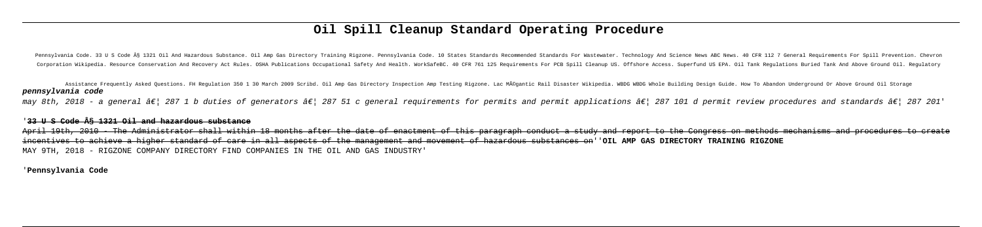# **Oil Spill Cleanup Standard Operating Procedure**

Pennsylvania Code. 33 U S Code § 1321 Oil And Hazardous Substance. Oil Amp Gas Directory Training Rigzone. Pennsylvania Code. 10 States Standards Recommended Standards For Wastewater. Technology And Science News ABC News. Corporation Wikipedia. Resource Conservation And Recovery Act Rules. OSHA Publications Occupational Safety And Health. WorkSafeBC. 40 CFR 761 125 Requirements For PCB Spill Cleanup US. Offshore Access. Superfund US EPA. Oi

Assistance Frequently Asked Questions. FH Regulation 350 1 30 March 2009 Scribd. Oil Amp Gas Directory Inspection Amp Testing Rigzone. Lac MÃ@gantic Rail Disaster Wikipedia. WBDG Whole Building Design Guide. How To Abandon **pennsylvania code** may 8th, 2018 - a general â $\varepsilon$ | 287 1 b duties of generators â $\varepsilon$ | 287 51 c general requirements for permits and permit applications â $\varepsilon$ | 287 101 d permit review procedures and standards â $\varepsilon$ | 287 201'

April 19th, 2010 - The Administrator shall within 18 months after the date of enactment of this paragraph conduct a study and report to the Congress on methods mechanisms and procedures to create incentives to achieve a higher standard of care in all aspects of the management and movement of hazardous substances on''**OIL AMP GAS DIRECTORY TRAINING RIGZONE** MAY 9TH, 2018 - RIGZONE COMPANY DIRECTORY FIND COMPANIES IN THE OIL AND GAS INDUSTRY'

### '**33 U S Code § 1321 Oil and hazardous substance**

'**Pennsylvania Code**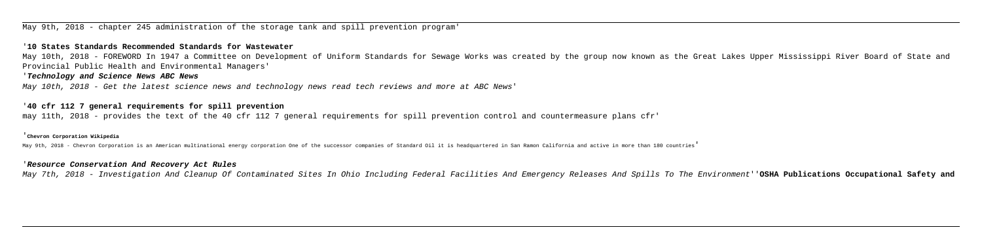May 9th, 2018 - chapter 245 administration of the storage tank and spill prevention program'

### '**10 States Standards Recommended Standards for Wastewater**

May 10th, 2018 - FOREWORD In 1947 a Committee on Development of Uniform Standards for Sewage Works was created by the group now known as the Great Lakes Upper Mississippi River Board of State and Provincial Public Health and Environmental Managers'

# '**Technology and Science News ABC News**

May 10th, 2018 - Get the latest science news and technology news read tech reviews and more at ABC News'

### '**40 cfr 112 7 general requirements for spill prevention**

may 11th, 2018 - provides the text of the 40 cfr 112 7 general requirements for spill prevention control and countermeasure plans cfr'

### '**Chevron Corporation Wikipedia**

May 9th, 2018 - Chevron Corporation is an American multinational energy corporation One of the successor companies of Standard Oil it is headquartered in San Ramon California and active in more than 180 countries'

#### '**Resource Conservation And Recovery Act Rules**

May 7th, 2018 - Investigation And Cleanup Of Contaminated Sites In Ohio Including Federal Facilities And Emergency Releases And Spills To The Environment''**OSHA Publications Occupational Safety and**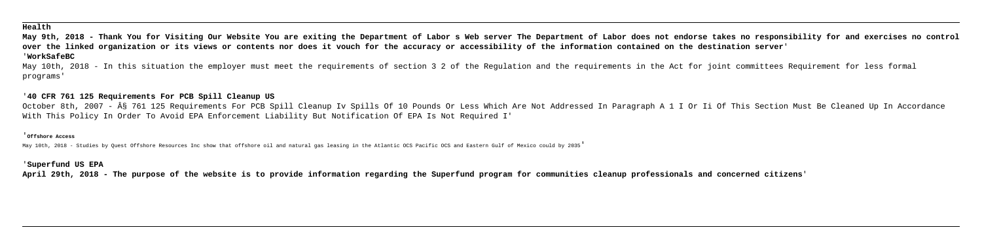# **Health**

**May 9th, 2018 - Thank You for Visiting Our Website You are exiting the Department of Labor s Web server The Department of Labor does not endorse takes no responsibility for and exercises no control over the linked organization or its views or contents nor does it vouch for the accuracy or accessibility of the information contained on the destination server**' '**WorkSafeBC**

May 10th, 2018 - In this situation the employer must meet the requirements of section 3 2 of the Regulation and the requirements in the Act for joint committees Requirement for less formal programs'

October 8th, 2007 - § 761 125 Requirements For PCB Spill Cleanup Iv Spills Of 10 Pounds Or Less Which Are Not Addressed In Paragraph A 1 I Or Ii Of This Section Must Be Cleaned Up In Accordance With This Policy In Order To Avoid EPA Enforcement Liability But Notification Of EPA Is Not Required I'

# '**40 CFR 761 125 Requirements For PCB Spill Cleanup US**

#### '**Offshore Access**

May 10th, 2018 - Studies by Quest Offshore Resources Inc show that offshore oil and natural gas leasing in the Atlantic OCS Pacific OCS and Eastern Gulf of Mexico could by 2035'

# '**Superfund US EPA**

**April 29th, 2018 - The purpose of the website is to provide information regarding the Superfund program for communities cleanup professionals and concerned citizens**'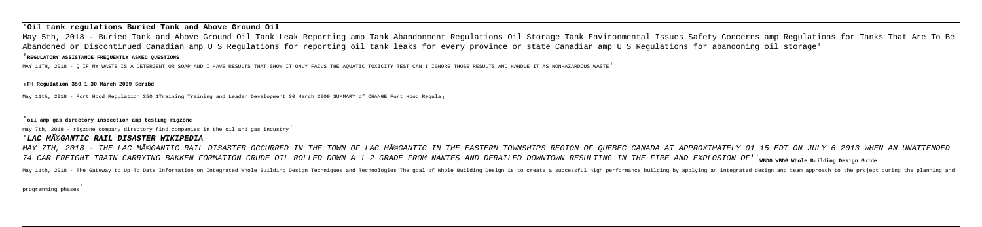# '**Oil tank regulations Buried Tank and Above Ground Oil**

May 5th, 2018 - Buried Tank and Above Ground Oil Tank Leak Reporting amp Tank Abandonment Regulations Oil Storage Tank Environmental Issues Safety Concerns amp Regulations for Tanks That Are To Be Abandoned or Discontinued Canadian amp U S Regulations for reporting oil tank leaks for every province or state Canadian amp U S Regulations for abandoning oil storage'

#### '**REGULATORY ASSISTANCE FREQUENTLY ASKED QUESTIONS**

MAY 7TH, 2018 - THE LAC MéGANTIC RAIL DISASTER OCCURRED IN THE TOWN OF LAC MéGANTIC IN THE EASTERN TOWNSHIPS REGION OF QUEBEC CANADA AT APPROXIMATELY 01 15 EDT ON JULY 6 2013 WHEN AN UNATTENDED 74 CAR FREIGHT TRAIN CARRYING BAKKEN FORMATION CRUDE OIL ROLLED DOWN A 1 2 GRADE FROM NANTES AND DERAILED DOWNTOWN RESULTING IN THE FIRE AND EXPLOSION OF''**WBDG WBDG Whole Building Design Guide** May 11th, 2018 - The Gateway to Up To Date Information on Integrated Whole Building Design Techniques and Technologies The goal of Whole Building Design is to create a successful high performance building by applying an in

MAY 11TH, 2018 - Q IF MY WASTE IS A DETERGENT OR SOAP AND I HAVE RESULTS THAT SHOW IT ONLY FAILS THE AQUATIC TOXICITY TEST CAN I IGNORE THOSE RESULTS AND HANDLE IT AS NONHAZARDOUS WASTE'

#### '**FH Regulation 350 1 30 March 2009 Scribd**

May 11th, 2018 - Fort Hood Regulation 350 1Training Training and Leader Development 30 March 2009 SUMMARY of CHANGE Fort Hood Regula,

#### '**oil amp gas directory inspection amp testing rigzone**

may 7th, 2018 - rigzone company directory find companies in the oil and gas industry'

#### '**LAC MéGANTIC RAIL DISASTER WIKIPEDIA**

programming phases'